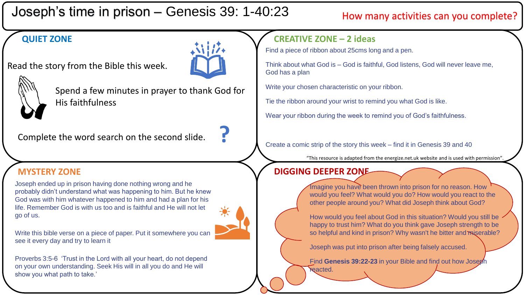# Joseph's time in prison – Genesis 39: 1-40:23

## How many activities can you complete?

### **QUIET ZONE**

Read the story from the Bible this week.





Spend a few minutes in prayer to thank God for His faithfulness

Complete the word search on the second slide. **?**

Joseph ended up in prison having done nothing wrong and he probably didn't understand what was happening to him. But he knew God was with him whatever happened to him and had a plan for his life. Remember God is with us too and is faithful and He will not let go of us.

Write this bible verse on a piece of paper. Put it somewhere you can see it every day and try to learn it



### **CREATIVE ZONE – 2 ideas**

Find a piece of ribbon about 25cms long and a pen.

Think about what God is – God is faithful, God listens, God will never leave me, God has a plan

Write your chosen characteristic on your ribbon.

Tie the ribbon around your wrist to remind you what God is like.

Wear your ribbon during the week to remind you of God's faithfulness.

Create a comic strip of the story this week – find it in Genesis 39 and 40

"This resource is adapted from the energize.net.uk website and is used with permission".

### **MYSTERY ZONE DIGGING DEEPER ZONE**



Imagine you have been thrown into prison for no reason. How would you feel? What would you do? How would you react to the other people around you? What did Joseph think about God?

How would you feel about God in this situation? Would you still be happy to trust him? What do you think gave Joseph strength to be so helpful and kind in prison? Why wasn't he bitter and miserable?

Joseph was put into prison after being falsely accused.

Find **Genesis 39:22-23** in your Bible and find out how Joseph **reacted.**